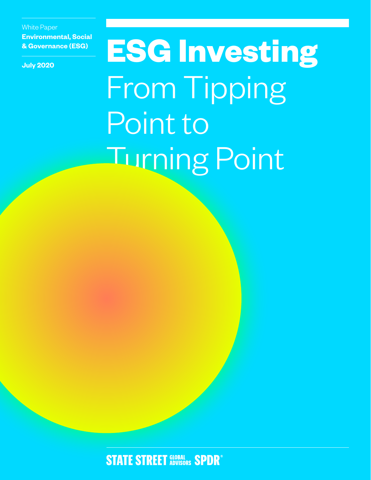White Paper **Environmental, Social & Governance (ESG)**

**July 2020**

**ESG Investing** From Tipping Point to Turning Point

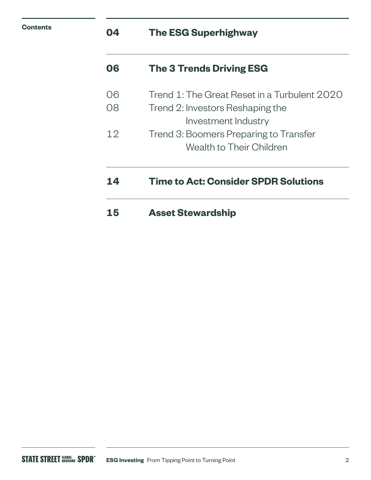| <b>Contents</b> | 04 | <b>The ESG Superhighway</b> |
|-----------------|----|-----------------------------|
|                 |    |                             |

| 06 | <b>The 3 Trends Driving ESG</b>              |
|----|----------------------------------------------|
| 06 | Trend 1: The Great Reset in a Turbulent 2020 |
| 08 | Trend 2: Investors Reshaping the             |
|    | Investment Industry                          |
| 12 | Trend 3: Boomers Preparing to Transfer       |
|    | Wealth to Their Children                     |
| 14 | <b>Time to Act: Consider SPDR Solutions</b>  |
| 15 | <b>Asset Stewardship</b>                     |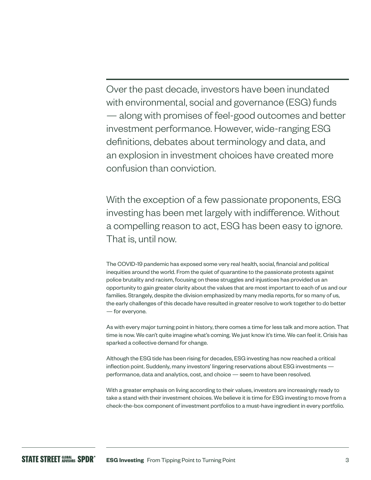Over the past decade, investors have been inundated with environmental, social and governance (ESG) funds — along with promises of feel-good outcomes and better investment performance. However, wide-ranging ESG definitions, debates about terminology and data, and an explosion in investment choices have created more confusion than conviction.

With the exception of a few passionate proponents, ESG investing has been met largely with indifference. Without a compelling reason to act, ESG has been easy to ignore. That is, until now.

The COVID-19 pandemic has exposed some very real health, social, financial and political inequities around the world. From the quiet of quarantine to the passionate protests against police brutality and racism, focusing on these struggles and injustices has provided us an opportunity to gain greater clarity about the values that are most important to each of us and our families. Strangely, despite the division emphasized by many media reports, for so many of us, the early challenges of this decade have resulted in greater resolve to work together to do better — for everyone.

As with every major turning point in history, there comes a time for less talk and more action. That time is now. We can't quite imagine what's coming. We just know it's time. We can feel it. Crisis has sparked a collective demand for change.

Although the ESG tide has been rising for decades, ESG investing has now reached a critical inflection point. Suddenly, many investors' lingering reservations about ESG investments performance, data and analytics, cost, and choice — seem to have been resolved.

With a greater emphasis on living according to their values, investors are increasingly ready to take a stand with their investment choices. We believe it is time for ESG investing to move from a check-the-box component of investment portfolios to a must-have ingredient in every portfolio.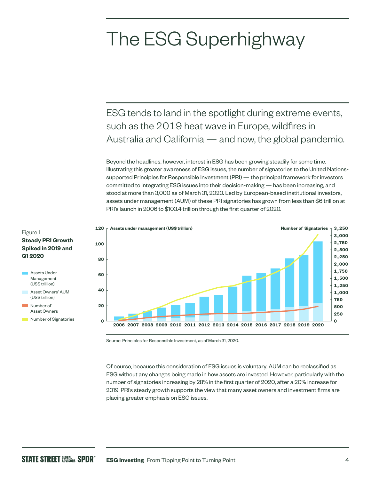# The ESG Superhighway

ESG tends to land in the spotlight during extreme events, such as the 2019 heat wave in Europe, wildfires in Australia and California — and now, the global pandemic.

Beyond the headlines, however, interest in ESG has been growing steadily for some time. Illustrating this greater awareness of ESG issues, the number of signatories to the United Nationssupported Principles for Responsible Investment (PRI) — the principal framework for investors committed to integrating ESG issues into their decision-making — has been increasing, and stood at more than 3,000 as of March 31, 2020. Led by European-based institutional investors, assets under management (AUM) of these PRI signatories has grown from less than \$6 trillion at PRI's launch in 2006 to \$103.4 trillion through the first quarter of 2020.



Figure 1 **Steady PRI Growth Spiked in 2019 and Q1 2020**



- Asset Owners' AUM (US\$ trillion) Number of
- Asset Owners
- **Number of Signatories**

Source: Principles for Responsible Investment, as of March 31, 2020.

Of course, because this consideration of ESG issues is voluntary, AUM can be reclassified as ESG without any changes being made in how assets are invested. However, particularly with the number of signatories increasing by 28% in the first quarter of 2020, after a 20% increase for 2019, PRI's steady growth supports the view that many asset owners and investment firms are placing greater emphasis on ESG issues.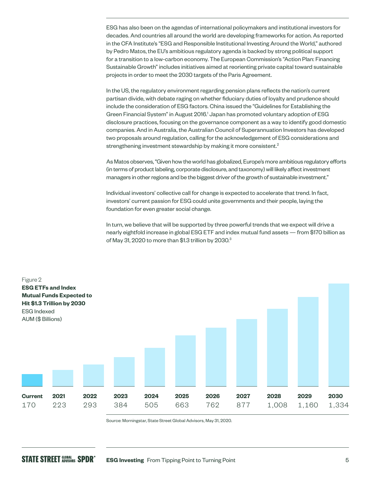ESG has also been on the agendas of international policymakers and institutional investors for decades. And countries all around the world are developing frameworks for action. As reported in the CFA Institute's "ESG and Responsible Institutional Investing Around the World," authored by Pedro Matos, the EU's ambitious regulatory agenda is backed by strong political support for a transition to a low-carbon economy. The European Commission's "Action Plan: Financing Sustainable Growth" includes initiatives aimed at reorienting private capital toward sustainable projects in order to meet the 2030 targets of the Paris Agreement.

In the US, the regulatory environment regarding pension plans reflects the nation's current partisan divide, with debate raging on whether fiduciary duties of loyalty and prudence should include the consideration of ESG factors. China issued the "Guidelines for Establishing the Green Financial System" in August 2016.<sup>1</sup> Japan has promoted voluntary adoption of ESG disclosure practices, focusing on the governance component as a way to identify good domestic companies. And in Australia, the Australian Council of Superannuation Investors has developed two proposals around regulation, calling for the acknowledgement of ESG considerations and strengthening investment stewardship by making it more consistent.<sup>2</sup>

As Matos observes, "Given how the world has globalized, Europe's more ambitious regulatory efforts (in terms of product labeling, corporate disclosure, and taxonomy) will likely affect investment managers in other regions and be the biggest driver of the growth of sustainable investment."

Individual investors' collective call for change is expected to accelerate that trend. In fact, investors' current passion for ESG could unite governments and their people, laying the foundation for even greater social change.

In turn, we believe that will be supported by three powerful trends that we expect will drive a nearly eightfold increase in global ESG ETF and index mutual fund assets — from \$170 billion as of May 31, 2020 to more than \$1.3 trillion by 2030.<sup>3</sup>



Source: Morningstar, State Street Global Advisors, May 31, 2020.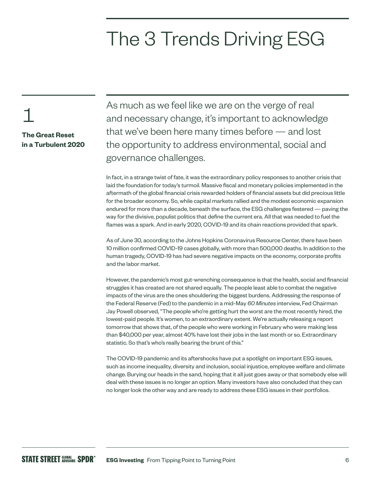# The 3 Trends Driving ESG

1

**The Great Reset in a Turbulent 2020** As much as we feel like we are on the verge of real and necessary change, it's important to acknowledge that we've been here many times before — and lost the opportunity to address environmental, social and governance challenges.

In fact, in a strange twist of fate, it was the extraordinary policy responses to another crisis that laid the foundation for today's turmoil. Massive fiscal and monetary policies implemented in the aftermath of the global financial crisis rewarded holders of financial assets but did precious little for the broader economy. So, while capital markets rallied and the modest economic expansion endured for more than a decade, beneath the surface, the ESG challenges festered — paving the way for the divisive, populist politics that define the current era. All that was needed to fuel the flames was a spark. And in early 2020, COVID-19 and its chain reactions provided that spark.

As of June 30, according to the Johns Hopkins Coronavirus Resource Center, there have been 10 million confirmed COVID-19 cases globally, with more than 500,000 deaths. In addition to the human tragedy, COVID-19 has had severe negative impacts on the economy, corporate profits and the labor market.

However, the pandemic's most gut-wrenching consequence is that the health, social and financial struggles it has created are not shared equally. The people least able to combat the negative impacts of the virus are the ones shouldering the biggest burdens. Addressing the response of the Federal Reserve (Fed) to the pandemic in a mid-May *60 Minutes* interview, Fed Chairman Jay Powell observed, "The people who're getting hurt the worst are the most recently hired, the lowest-paid people. It's women, to an extraordinary extent. We're actually releasing a report tomorrow that shows that, of the people who were working in February who were making less than \$40,000 per year, almost 40% have lost their jobs in the last month or so. Extraordinary statistic. So that's who's really bearing the brunt of this."

The COVID-19 pandemic and its aftershocks have put a spotlight on important ESG issues, such as income inequality, diversity and inclusion, social injustice, employee welfare and climate change. Burying our heads in the sand, hoping that it all just goes away or that somebody else will deal with these issues is no longer an option. Many investors have also concluded that they can no longer look the other way and are ready to address these ESG issues in their portfolios.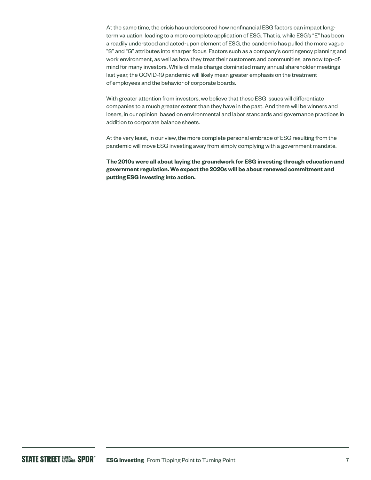At the same time, the crisis has underscored how nonfinancial ESG factors can impact longterm valuation, leading to a more complete application of ESG. That is, while ESG's "E" has been a readily understood and acted-upon element of ESG, the pandemic has pulled the more vague "S" and "G" attributes into sharper focus. Factors such as a company's contingency planning and work environment, as well as how they treat their customers and communities, are now top-ofmind for many investors. While climate change dominated many annual shareholder meetings last year, the COVID-19 pandemic will likely mean greater emphasis on the treatment of employees and the behavior of corporate boards.

With greater attention from investors, we believe that these ESG issues will differentiate companies to a much greater extent than they have in the past. And there will be winners and losers, in our opinion, based on environmental and labor standards and governance practices in addition to corporate balance sheets.

At the very least, in our view, the more complete personal embrace of ESG resulting from the pandemic will move ESG investing away from simply complying with a government mandate.

**The 2010s were all about laying the groundwork for ESG investing through education and government regulation. We expect the 2020s will be about renewed commitment and putting ESG investing into action.**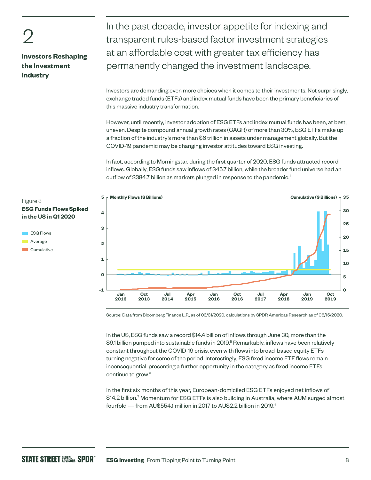2

# **Investors Reshaping the Investment Industry**

In the past decade, investor appetite for indexing and transparent rules-based factor investment strategies at an affordable cost with greater tax efficiency has permanently changed the investment landscape.

Investors are demanding even more choices when it comes to their investments. Not surprisingly, exchange traded funds (ETFs) and index mutual funds have been the primary beneficiaries of this massive industry transformation.

However, until recently, investor adoption of ESG ETFs and index mutual funds has been, at best, uneven. Despite compound annual growth rates (CAGR) of more than 30%, ESG ETFs make up a fraction of the industry's more than \$6 trillion in assets under management globally. But the COVID-19 pandemic may be changing investor attitudes toward ESG investing.

In fact, according to Morningstar, during the first quarter of 2020, ESG funds attracted record inflows. Globally, ESG funds saw inflows of \$45.7 billion, while the broader fund universe had an outflow of \$384.7 billion as markets plunged in response to the pandemic.<sup>4</sup>



Source: Data from Bloomberg Finance L.P., as of 03/31/2020, calculations by SPDR Americas Research as of 06/15/2020.

In the US, ESG funds saw a record \$14.4 billion of inflows through June 30, more than the \$9.1 billion pumped into sustainable funds in 2019.5 Remarkably, inflows have been relatively constant throughout the COVID-19 crisis, even with flows into broad-based equity ETFs turning negative for some of the period. Interestingly, ESG fixed income ETF flows remain inconsequential, presenting a further opportunity in the category as fixed income ETFs continue to grow.6

In the first six months of this year, European-domiciled ESG ETFs enjoyed net inflows of \$14.2 billion.7 Momentum for ESG ETFs is also building in Australia, where AUM surged almost fourfold  $-$  from AU\$554.1 million in 2017 to AU\$2.2 billion in 2019.<sup>8</sup>

# Figure 3 **ESG Funds Flows Spiked in the US in Q1 2020**

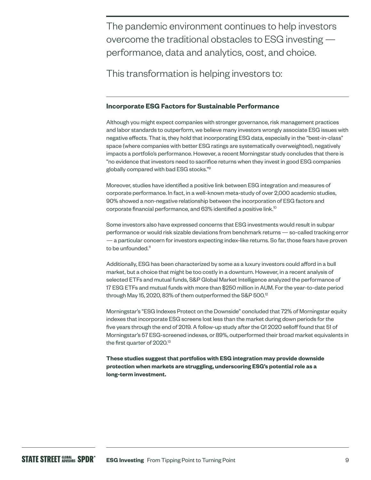The pandemic environment continues to help investors overcome the traditional obstacles to ESG investing performance, data and analytics, cost, and choice.

This transformation is helping investors to:

# **Incorporate ESG Factors for Sustainable Performance**

Although you might expect companies with stronger governance, risk management practices and labor standards to outperform, we believe many investors wrongly associate ESG issues with negative effects. That is, they hold that incorporating ESG data, especially in the "best-in-class" space (where companies with better ESG ratings are systematically overweighted), negatively impacts a portfolio's performance. However, a recent Morningstar study concludes that there is "no evidence that investors need to sacrifice returns when they invest in good ESG companies globally compared with bad ESG stocks."9

Moreover, studies have identified a positive link between ESG integration and measures of corporate performance. In fact, in a well-known meta-study of over 2,000 academic studies, 90% showed a non-negative relationship between the incorporation of ESG factors and corporate financial performance, and 63% identified a positive link.10

Some investors also have expressed concerns that ESG investments would result in subpar performance or would risk sizable deviations from benchmark returns — so-called tracking error — a particular concern for investors expecting index-like returns. So far, those fears have proven to be unfounded.<sup>11</sup>

Additionally, ESG has been characterized by some as a luxury investors could afford in a bull market, but a choice that might be too costly in a downturn. However, in a recent analysis of selected ETFs and mutual funds, S&P Global Market Intelligence analyzed the performance of 17 ESG ETFs and mutual funds with more than \$250 million in AUM. For the year-to-date period through May 15, 2020, 83% of them outperformed the S&P 500.<sup>12</sup>

Morningstar's "ESG Indexes Protect on the Downside" concluded that 72% of Morningstar equity indexes that incorporate ESG screens lost less than the market during down periods for the five years through the end of 2019. A follow-up study after the Q1 2020 selloff found that 51 of Morningstar's 57 ESG-screened indexes, or 89%, outperformed their broad market equivalents in the first quarter of 2020.<sup>13</sup>

**These studies suggest that portfolios with ESG integration may provide downside protection when markets are struggling, underscoring ESG's potential role as a long-term investment.**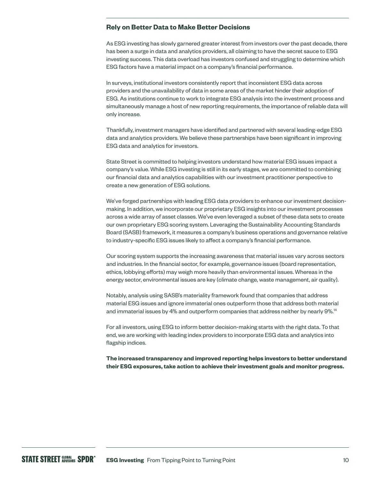### **Rely on Better Data to Make Better Decisions**

As ESG investing has slowly garnered greater interest from investors over the past decade, there has been a surge in data and analytics providers, all claiming to have the secret sauce to ESG investing success. This data overload has investors confused and struggling to determine which ESG factors have a material impact on a company's financial performance.

In surveys, institutional investors consistently report that inconsistent ESG data across providers and the unavailability of data in some areas of the market hinder their adoption of ESG. As institutions continue to work to integrate ESG analysis into the investment process and simultaneously manage a host of new reporting requirements, the importance of reliable data will only increase.

Thankfully, investment managers have identified and partnered with several leading-edge ESG data and analytics providers. We believe these partnerships have been significant in improving ESG data and analytics for investors.

State Street is committed to helping investors understand how material ESG issues impact a company's value. While ESG investing is still in its early stages, we are committed to combining our financial data and analytics capabilities with our investment practitioner perspective to create a new generation of ESG solutions.

We've forged partnerships with leading ESG data providers to enhance our investment decisionmaking. In addition, we incorporate our proprietary ESG insights into our investment processes across a wide array of asset classes. We've even leveraged a subset of these data sets to create our own proprietary ESG scoring system. Leveraging the Sustainability Accounting Standards Board (SASB) framework, it measures a company's business operations and governance relative to industry-specific ESG issues likely to affect a company's financial performance.

Our scoring system supports the increasing awareness that material issues vary across sectors and industries. In the financial sector, for example, governance issues (board representation, ethics, lobbying efforts) may weigh more heavily than environmental issues. Whereas in the energy sector, environmental issues are key (climate change, waste management, air quality).

Notably, analysis using SASB's materiality framework found that companies that address material ESG issues and ignore immaterial ones outperform those that address both material and immaterial issues by 4% and outperform companies that address neither by nearly 9%.<sup>14</sup>

For all investors, using ESG to inform better decision-making starts with the right data. To that end, we are working with leading index providers to incorporate ESG data and analytics into flagship indices.

**The increased transparency and improved reporting helps investors to better understand their ESG exposures, take action to achieve their investment goals and monitor progress.**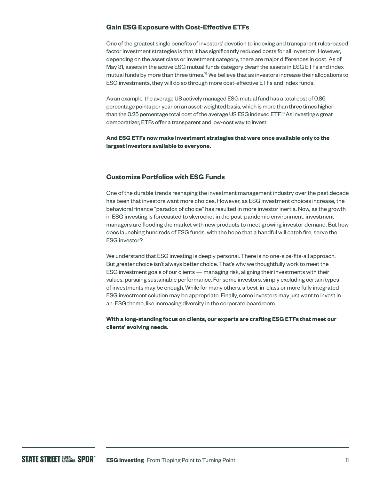# **Gain ESG Exposure with Cost-Effective ETFs**

One of the greatest single benefits of investors' devotion to indexing and transparent rules-based factor investment strategies is that it has significantly reduced costs for all investors. However, depending on the asset class or investment category, there are major differences in cost. As of May 31, assets in the active ESG mutual funds category dwarf the assets in ESG ETFs and index mutual funds by more than three times.<sup>15</sup> We believe that as investors increase their allocations to ESG investments, they will do so through more cost-effective ETFs and index funds.

As an example, the average US actively managed ESG mutual fund has a total cost of 0.86 percentage points per year on an asset-weighted basis, which is more than three times higher than the 0.25 percentage total cost of the average US ESG indexed ETF.<sup>16</sup> As investing's great democratizer, ETFs offer a transparent and low-cost way to invest.

### **And ESG ETFs now make investment strategies that were once available only to the largest investors available to everyone.**

# **Customize Portfolios with ESG Funds**

One of the durable trends reshaping the investment management industry over the past decade has been that investors want more choices. However, as ESG investment choices increase, the behavioral finance "paradox of choice" has resulted in more investor inertia. Now, as the growth in ESG investing is forecasted to skyrocket in the post-pandemic environment, investment managers are flooding the market with new products to meet growing investor demand. But how does launching hundreds of ESG funds, with the hope that a handful will catch fire, serve the ESG investor?

We understand that ESG investing is deeply personal. There is no one-size-fits-all approach. But greater choice isn't always better choice. That's why we thoughtfully work to meet the ESG investment goals of our clients — managing risk, aligning their investments with their values, pursuing sustainable performance. For some investors, simply excluding certain types of investments may be enough. While for many others, a best-in-class or more fully integrated ESG investment solution may be appropriate. Finally, some investors may just want to invest in an ESG theme, like increasing diversity in the corporate boardroom.

### **With a long-standing focus on clients, our experts are crafting ESG ETFs that meet our clients' evolving needs.**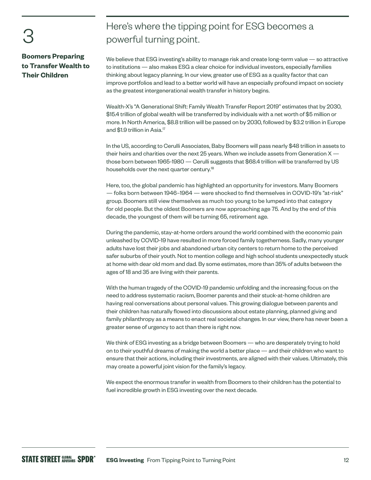3

# **Boomers Preparing to Transfer Wealth to Their Children**

# Here's where the tipping point for ESG becomes a powerful turning point.

We believe that ESG investing's ability to manage risk and create long-term value — so attractive to institutions — also makes ESG a clear choice for individual investors, especially families thinking about legacy planning. In our view, greater use of ESG as a quality factor that can improve portfolios and lead to a better world will have an especially profound impact on society as the greatest intergenerational wealth transfer in history begins.

Wealth-X's "A Generational Shift: Family Wealth Transfer Report 2019" estimates that by 2030, \$15.4 trillion of global wealth will be transferred by individuals with a net worth of \$5 million or more. In North America, \$8.8 trillion will be passed on by 2030, followed by \$3.2 trillion in Europe and \$1.9 trillion in Asia.<sup>17</sup>

In the US, according to Cerulli Associates, Baby Boomers will pass nearly \$48 trillion in assets to their heirs and charities over the next 25 years. When we include assets from Generation X those born between 1965-1980 — Cerulli suggests that \$68.4 trillion will be transferred by US households over the next quarter century.<sup>18</sup>

Here, too, the global pandemic has highlighted an opportunity for investors. Many Boomers — folks born between 1946–1964 — were shocked to find themselves in COVID-19's "at-risk" group. Boomers still view themselves as much too young to be lumped into that category for old people. But the oldest Boomers are now approaching age 75. And by the end of this decade, the youngest of them will be turning 65, retirement age.

During the pandemic, stay-at-home orders around the world combined with the economic pain unleashed by COVID-19 have resulted in more forced family togetherness. Sadly, many younger adults have lost their jobs and abandoned urban city centers to return home to the perceived safer suburbs of their youth. Not to mention college and high school students unexpectedly stuck at home with dear old mom and dad. By some estimates, more than 35% of adults between the ages of 18 and 35 are living with their parents.

With the human tragedy of the COVID-19 pandemic unfolding and the increasing focus on the need to address systematic racism, Boomer parents and their stuck-at-home children are having real conversations about personal values. This growing dialogue between parents and their children has naturally flowed into discussions about estate planning, planned giving and family philanthropy as a means to enact real societal changes. In our view, there has never been a greater sense of urgency to act than there is right now.

We think of ESG investing as a bridge between Boomers — who are desperately trying to hold on to their youthful dreams of making the world a better place — and their children who want to ensure that their actions, including their investments, are aligned with their values. Ultimately, this may create a powerful joint vision for the family's legacy.

We expect the enormous transfer in wealth from Boomers to their children has the potential to fuel incredible growth in ESG investing over the next decade.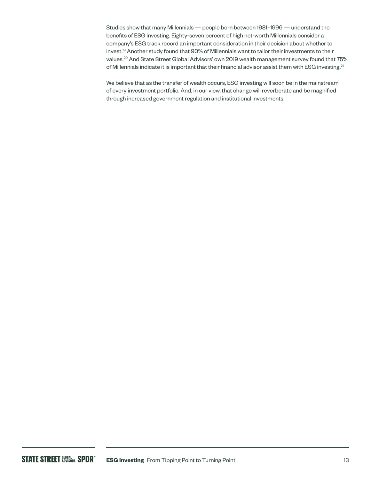Studies show that many Millennials — people born between 1981–1996 — understand the benefits of ESG investing. Eighty-seven percent of high net-worth Millennials consider a company's ESG track record an important consideration in their decision about whether to invest.19 Another study found that 90% of Millennials want to tailor their investments to their values.20 And State Street Global Advisors' own 2019 wealth management survey found that 75% of Millennials indicate it is important that their financial advisor assist them with ESG investing.<sup>21</sup>

We believe that as the transfer of wealth occurs, ESG investing will soon be in the mainstream of every investment portfolio. And, in our view, that change will reverberate and be magnified through increased government regulation and institutional investments.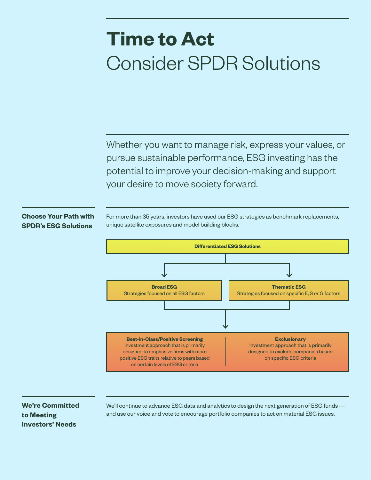# **Time to Act** Consider SPDR Solutions

Whether you want to manage risk, express your values, or pursue sustainable performance, ESG investing has the potential to improve your decision-making and support your desire to move society forward.

# **Choose Your Path with SPDR's ESG Solutions**

For more than 35 years, investors have used our ESG strategies as benchmark replacements, unique satellite exposures and model building blocks.



# **We're Committed to Meeting Investors' Needs**

We'll continue to advance ESG data and analytics to design the next generation of ESG funds and use our voice and vote to encourage portfolio companies to act on material ESG issues.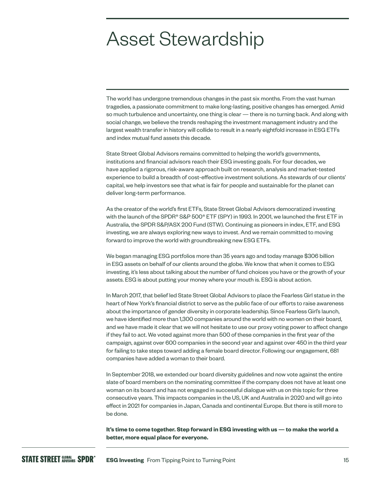# Asset Stewardship

The world has undergone tremendous changes in the past six months. From the vast human tragedies, a passionate commitment to make long-lasting, positive changes has emerged. Amid so much turbulence and uncertainty, one thing is clear — there is no turning back. And along with social change, we believe the trends reshaping the investment management industry and the largest wealth transfer in history will collide to result in a nearly eightfold increase in ESG ETFs and index mutual fund assets this decade.

State Street Global Advisors remains committed to helping the world's governments, institutions and financial advisors reach their ESG investing goals. For four decades, we have applied a rigorous, risk-aware approach built on research, analysis and market-tested experience to build a breadth of cost-effective investment solutions. As stewards of our clients' capital, we help investors see that what is fair for people and sustainable for the planet can deliver long-term performance.

As the creator of the world's first ETFs, State Street Global Advisors democratized investing with the launch of the SPDR® S&P 500® ETF (SPY) in 1993. In 2001, we launched the first ETF in Australia, the SPDR S&P/ASX 200 Fund (STW). Continuing as pioneers in index, ETF, and ESG investing, we are always exploring new ways to invest. And we remain committed to moving forward to improve the world with groundbreaking new ESG ETFs.

We began managing ESG portfolios more than 35 years ago and today manage \$306 billion in ESG assets on behalf of our clients around the globe. We know that when it comes to ESG investing, it's less about talking about the number of fund choices you have or the growth of your assets. ESG is about putting your money where your mouth is. ESG is about action.

In March 2017, that belief led State Street Global Advisors to place the Fearless Girl statue in the heart of New York's financial district to serve as the public face of our efforts to raise awareness about the importance of gender diversity in corporate leadership. Since Fearless Girl's launch, we have identified more than 1,300 companies around the world with no women on their board, and we have made it clear that we will not hesitate to use our proxy voting power to affect change if they fail to act. We voted against more than 500 of these companies in the first year of the campaign, against over 600 companies in the second year and against over 450 in the third year for failing to take steps toward adding a female board director. Following our engagement, 681 companies have added a woman to their board.

In September 2018, we extended our board diversity guidelines and now vote against the entire slate of board members on the nominating committee if the company does not have at least one woman on its board and has not engaged in successful dialogue with us on this topic for three consecutive years. This impacts companies in the US, UK and Australia in 2020 and will go into effect in 2021 for companies in Japan, Canada and continental Europe. But there is still more to be done.

**It's time to come together. Step forward in ESG investing with us — to make the world a better, more equal place for everyone.**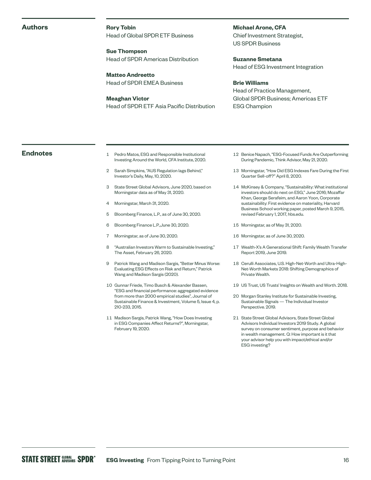#### **Authors**

**Rory Tobin** Head of Global SPDR ETF Business

**Sue Thompson**  Head of SPDR Americas Distribution

**Matteo Andreetto**  Head of SPDR EMEA Business

**Meaghan Victor**  Head of SPDR ETF Asia Pacific Distribution **Michael Arone, CFA**  Chief Investment Strategist, US SPDR Business

**Suzanne Smetana**  Head of ESG Investment Integration

### **Brie Williams**

Head of Practice Management, Global SPDR Business; Americas ETF ESG Champion

- **Endnotes** 1 Pedro Matos, ESG and Responsible Institutional Investing Around the World, CFA Institute, 2020.
	- 2 Sarah Simpkins, "AUS Regulation lags Behind," Investor's Daily, May, 10, 2020.
	- 3 State Street Global Advisors, June 2020, based on Morningstar data as of May 31, 2020.
	- 4 Morningstar, March 31, 2020.
	- 5 Bloomberg Finance, L.P., as of June 30, 2020.
	- 6 Bloomberg Finance L.P.,June 30, 2020.
	- 7 Morningstar, as of June 30, 2020.
	- 8 "Australian Investors Warm to Sustainable Investing," The Asset, February 26, 2020.
	- 9 Patrick Wang and Madison Sargis, "Better Minus Worse: Evaluating ESG Effects on Risk and Return," Patrick Wang and Madison Sargis (2020).
	- 10 Gunnar Friede, Timo Busch & Alexander Bassen, "ESG and financial performance: aggregated evidence from more than 2000 empirical studies", Journal of Sustainable Finance & Investment, Volume 5, Issue 4, p. 210-233, 2015.
	- 11 Madison Sargis, Patrick Wang, "How Does Investing in ESG Companies Affect Returns?", Morningstar, February 19, 2020.
- 12 Benice Napach, "ESG-Focused Funds Are Outperforming During Pandemic, Think Advisor, May 21, 2020.
- 13 Morningstar, "How Did ESG Indexes Fare During the First Quarter Sell-off?" April 8, 2020.
- 14 McKinsey & Company, "Sustainability: What institutional investors should do next on ESG," June 2016; Mozaffar Khan, George Serafeim, and Aaron Yoon, Corporate sustainability: First evidence on materiality, Harvard Business School working paper, posted March 9, 2015, revised February 1, 2017, [hbs.edu](http://hbs.edu).
- 15 Morningstar, as of May 31, 2020.
- 16 Morningstar, as of June 30, 2020.
- 17 Wealth-X's A Generational Shift: Family Wealth Transfer Report 2019, June 2019.
- 18 Cerulli Associates, U.S. High-Net-Worth and Ultra-High-Net-Worth Markets 2018: Shifting Demographics of Private Wealth.
- 19 US Trust, US Trusts' Insights on Wealth and Worth. 2018.
- 20 Morgan Stanley Institute for Sustainable Investing, Sustainable Signals — The Individual Investor Perspective. 2019.
- 21 State Street Global Advisors, State Street Global Advisors Individual Investors 2019 Study. A global survey on consumer sentiment, purpose and behavior in wealth management. Q: How important is it that your advisor help you with impact/ethical and/or ESG investing?